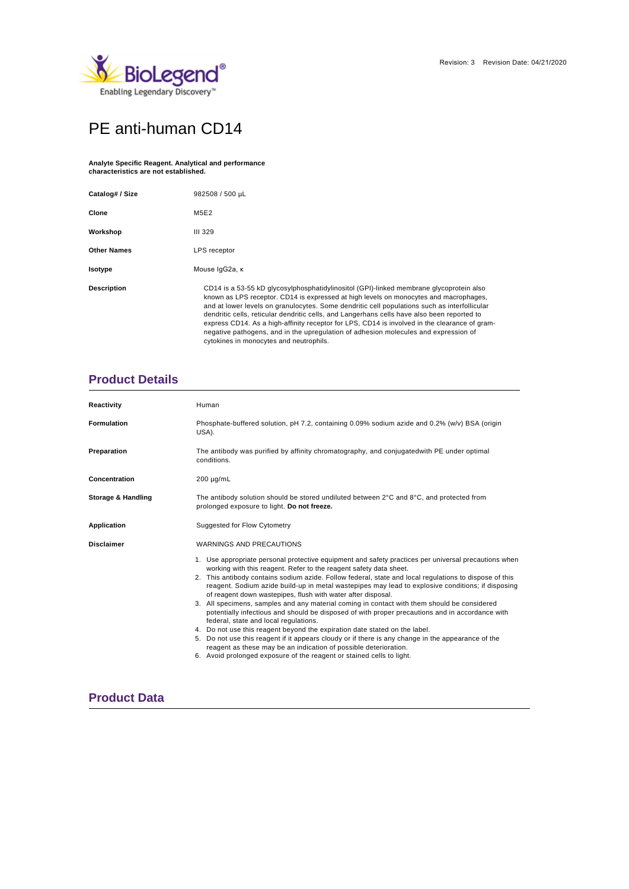

# PE anti-human CD14

#### **Analyte Specific Reagent. Analytical and performance characteristics are not established.**

| Catalog# / Size    | 982508 / 500 µL                                                                                                                                                                                                                                                                                                                                                                                                                                                                                                                                                                                                    |  |  |  |  |
|--------------------|--------------------------------------------------------------------------------------------------------------------------------------------------------------------------------------------------------------------------------------------------------------------------------------------------------------------------------------------------------------------------------------------------------------------------------------------------------------------------------------------------------------------------------------------------------------------------------------------------------------------|--|--|--|--|
| Clone              | M5E2                                                                                                                                                                                                                                                                                                                                                                                                                                                                                                                                                                                                               |  |  |  |  |
| Workshop           | <b>III 329</b>                                                                                                                                                                                                                                                                                                                                                                                                                                                                                                                                                                                                     |  |  |  |  |
| <b>Other Names</b> | LPS receptor                                                                                                                                                                                                                                                                                                                                                                                                                                                                                                                                                                                                       |  |  |  |  |
| Isotype            | Mouse IgG2a, к                                                                                                                                                                                                                                                                                                                                                                                                                                                                                                                                                                                                     |  |  |  |  |
| <b>Description</b> | CD14 is a 53-55 kD glycosylphosphatidylinositol (GPI)-linked membrane glycoprotein also<br>known as LPS receptor. CD14 is expressed at high levels on monocytes and macrophages,<br>and at lower levels on granulocytes. Some dendritic cell populations such as interfollicular<br>dendritic cells, reticular dendritic cells, and Langerhans cells have also been reported to<br>express CD14. As a high-affinity receptor for LPS, CD14 is involved in the clearance of gram-<br>negative pathogens, and in the upregulation of adhesion molecules and expression of<br>cytokines in monocytes and neutrophils. |  |  |  |  |

# **Product Details**

| Reactivity                    | Human                                                                                                                                                                                                                                                                                                                                                                                                                                                                                                                                                                                                                                                                                                                                                                                                                                                                                                                                                                                                                                 |  |  |  |  |  |
|-------------------------------|---------------------------------------------------------------------------------------------------------------------------------------------------------------------------------------------------------------------------------------------------------------------------------------------------------------------------------------------------------------------------------------------------------------------------------------------------------------------------------------------------------------------------------------------------------------------------------------------------------------------------------------------------------------------------------------------------------------------------------------------------------------------------------------------------------------------------------------------------------------------------------------------------------------------------------------------------------------------------------------------------------------------------------------|--|--|--|--|--|
| <b>Formulation</b>            | Phosphate-buffered solution, pH 7.2, containing 0.09% sodium azide and 0.2% (w/v) BSA (origin<br>USA).                                                                                                                                                                                                                                                                                                                                                                                                                                                                                                                                                                                                                                                                                                                                                                                                                                                                                                                                |  |  |  |  |  |
| Preparation                   | The antibody was purified by affinity chromatography, and conjugated with PE under optimal<br>conditions.                                                                                                                                                                                                                                                                                                                                                                                                                                                                                                                                                                                                                                                                                                                                                                                                                                                                                                                             |  |  |  |  |  |
| Concentration                 | $200 \mu g/mL$                                                                                                                                                                                                                                                                                                                                                                                                                                                                                                                                                                                                                                                                                                                                                                                                                                                                                                                                                                                                                        |  |  |  |  |  |
| <b>Storage &amp; Handling</b> | The antibody solution should be stored undiluted between $2^{\circ}$ C and $8^{\circ}$ C, and protected from<br>prolonged exposure to light. Do not freeze.                                                                                                                                                                                                                                                                                                                                                                                                                                                                                                                                                                                                                                                                                                                                                                                                                                                                           |  |  |  |  |  |
| <b>Application</b>            | Suggested for Flow Cytometry                                                                                                                                                                                                                                                                                                                                                                                                                                                                                                                                                                                                                                                                                                                                                                                                                                                                                                                                                                                                          |  |  |  |  |  |
| <b>Disclaimer</b>             | WARNINGS AND PRECAUTIONS                                                                                                                                                                                                                                                                                                                                                                                                                                                                                                                                                                                                                                                                                                                                                                                                                                                                                                                                                                                                              |  |  |  |  |  |
|                               | 1. Use appropriate personal protective equipment and safety practices per universal precautions when<br>working with this reagent. Refer to the reagent safety data sheet.<br>2. This antibody contains sodium azide. Follow federal, state and local regulations to dispose of this<br>reagent. Sodium azide build-up in metal wastepipes may lead to explosive conditions; if disposing<br>of reagent down wastepipes, flush with water after disposal.<br>3. All specimens, samples and any material coming in contact with them should be considered<br>potentially infectious and should be disposed of with proper precautions and in accordance with<br>federal, state and local regulations.<br>4. Do not use this reagent beyond the expiration date stated on the label.<br>5. Do not use this reagent if it appears cloudy or if there is any change in the appearance of the<br>reagent as these may be an indication of possible deterioration.<br>6. Avoid prolonged exposure of the reagent or stained cells to light. |  |  |  |  |  |

## **Product Data**